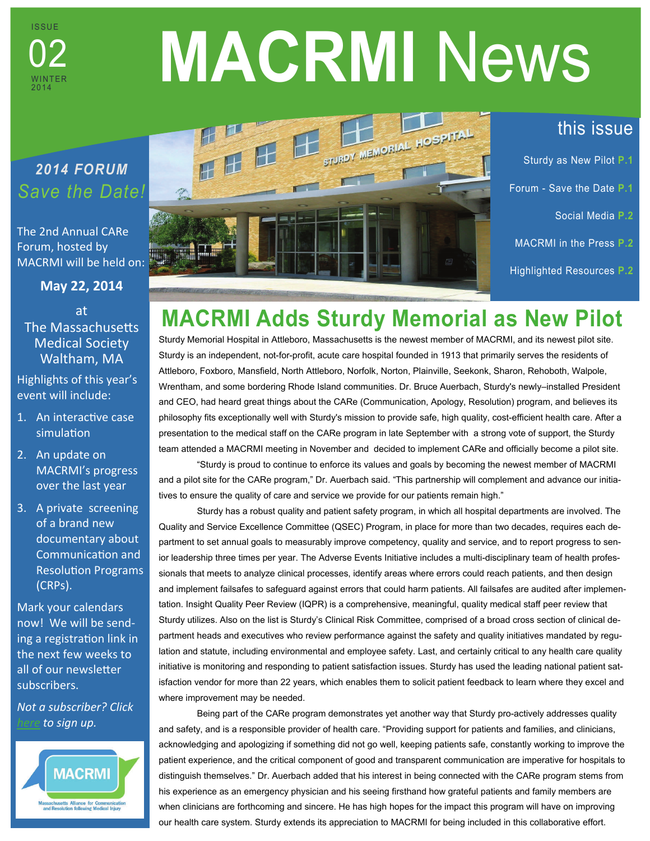

# **MACRMI** News

## *2014 FORUM Save the Date!*

The 2nd Annual CARe Forum, hosted by MACRMI will be held on:

**May 22, 2014**  at **The Massachusetts** Medical Society Waltham, MA

Highlights of this year's event will include:

- 1. An interactive case simulation
- 2. An update on MACRMI's progress over the last year
- 3. A private screening of a brand new documentary about CommunicaƟon and Resolution Programs (CRPs).

Mark your calendars now! We will be sending a registration link in the next few weeks to all of our newsletter subscribers.

*Not a subscriber? Click [here](http://www.macrmi.info/connect/sign-our-newsletter/#sthash.GHE4Yp4o.dpbs) to sign up.* 





## this issue

- Sturdy as New Pilot **P.1** Forum - Save the Date **P.1**  Social Media **P.2**
- MACRMI in the Press **P.2**
- Highlighted Resources **P.2**

# **MACRMI Adds Sturdy Memorial as New Pilot**

Sturdy Memorial Hospital in Attleboro, Massachusetts is the newest member of MACRMI, and its newest pilot site. Sturdy is an independent, not-for-profit, acute care hospital founded in 1913 that primarily serves the residents of Attleboro, Foxboro, Mansfield, North Attleboro, Norfolk, Norton, Plainville, Seekonk, Sharon, Rehoboth, Walpole, Wrentham, and some bordering Rhode Island communities. Dr. Bruce Auerbach, Sturdy's newly–installed President and CEO, had heard great things about the CARe (Communication, Apology, Resolution) program, and believes its philosophy fits exceptionally well with Sturdy's mission to provide safe, high quality, cost-efficient health care. After a presentation to the medical staff on the CARe program in late September with a strong vote of support, the Sturdy team attended a MACRMI meeting in November and decided to implement CARe and officially become a pilot site.

 "Sturdy is proud to continue to enforce its values and goals by becoming the newest member of MACRMI and a pilot site for the CARe program," Dr. Auerbach said. "This partnership will complement and advance our initiatives to ensure the quality of care and service we provide for our patients remain high."

 Sturdy has a robust quality and patient safety program, in which all hospital departments are involved. The Quality and Service Excellence Committee (QSEC) Program, in place for more than two decades, requires each department to set annual goals to measurably improve competency, quality and service, and to report progress to senior leadership three times per year. The Adverse Events Initiative includes a multi-disciplinary team of health professionals that meets to analyze clinical processes, identify areas where errors could reach patients, and then design and implement failsafes to safeguard against errors that could harm patients. All failsafes are audited after implementation. Insight Quality Peer Review (IQPR) is a comprehensive, meaningful, quality medical staff peer review that Sturdy utilizes. Also on the list is Sturdy's Clinical Risk Committee, comprised of a broad cross section of clinical department heads and executives who review performance against the safety and quality initiatives mandated by regulation and statute, including environmental and employee safety. Last, and certainly critical to any health care quality initiative is monitoring and responding to patient satisfaction issues. Sturdy has used the leading national patient satisfaction vendor for more than 22 years, which enables them to solicit patient feedback to learn where they excel and where improvement may be needed.

 Being part of the CARe program demonstrates yet another way that Sturdy pro-actively addresses quality and safety, and is a responsible provider of health care. "Providing support for patients and families, and clinicians, acknowledging and apologizing if something did not go well, keeping patients safe, constantly working to improve the patient experience, and the critical component of good and transparent communication are imperative for hospitals to distinguish themselves." Dr. Auerbach added that his interest in being connected with the CARe program stems from his experience as an emergency physician and his seeing firsthand how grateful patients and family members are when clinicians are forthcoming and sincere. He has high hopes for the impact this program will have on improving our health care system. Sturdy extends its appreciation to MACRMI for being included in this collaborative effort.